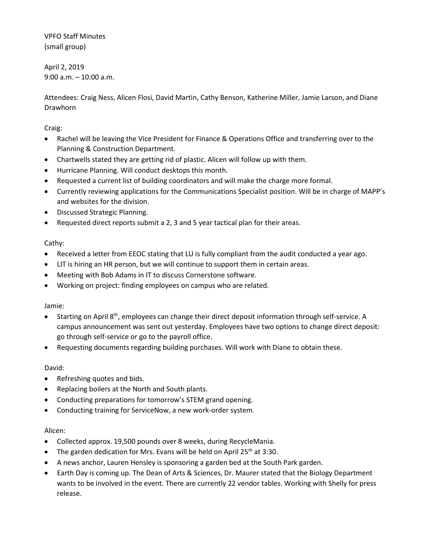VPFO Staff Minutes (small group)

April 2, 2019 9:00 a.m. – 10:00 a.m.

Attendees: Craig Ness, Alicen Flosi, David Martin, Cathy Benson, Katherine Miller, Jamie Larson, and Diane Drawhorn

Craig:

- Rachel will be leaving the Vice President for Finance & Operations Office and transferring over to the Planning & Construction Department.
- Chartwells stated they are getting rid of plastic. Alicen will follow up with them.
- Hurricane Planning. Will conduct desktops this month.
- Requested a current list of building coordinators and will make the charge more formal.
- Currently reviewing applications for the Communications Specialist position. Will be in charge of MAPP's and websites for the division.
- Discussed Strategic Planning.
- Requested direct reports submit a 2, 3 and 5 year tactical plan for their areas.

## Cathy:

- Received a letter from EEOC stating that LU is fully compliant from the audit conducted a year ago.
- LIT is hiring an HR person, but we will continue to support them in certain areas.
- Meeting with Bob Adams in IT to discuss Cornerstone software.
- Working on project: finding employees on campus who are related.

## Jamie:

- **•** Starting on April 8<sup>th</sup>, employees can change their direct deposit information through self-service. A campus announcement was sent out yesterday. Employees have two options to change direct deposit: go through self-service or go to the payroll office.
- Requesting documents regarding building purchases. Will work with Diane to obtain these.

## David:

- Refreshing quotes and bids.
- Replacing boilers at the North and South plants.
- Conducting preparations for tomorrow's STEM grand opening.
- Conducting training for ServiceNow, a new work-order system.

## Alicen:

- Collected approx. 19,500 pounds over 8 weeks, during RecycleMania.
- The garden dedication for Mrs. Evans will be held on April 25<sup>th</sup> at 3:30.
- A news anchor, Lauren Hensley is sponsoring a garden bed at the South Park garden.
- Earth Day is coming up. The Dean of Arts & Sciences, Dr. Maurer stated that the Biology Department wants to be involved in the event. There are currently 22 vendor tables. Working with Shelly for press release.